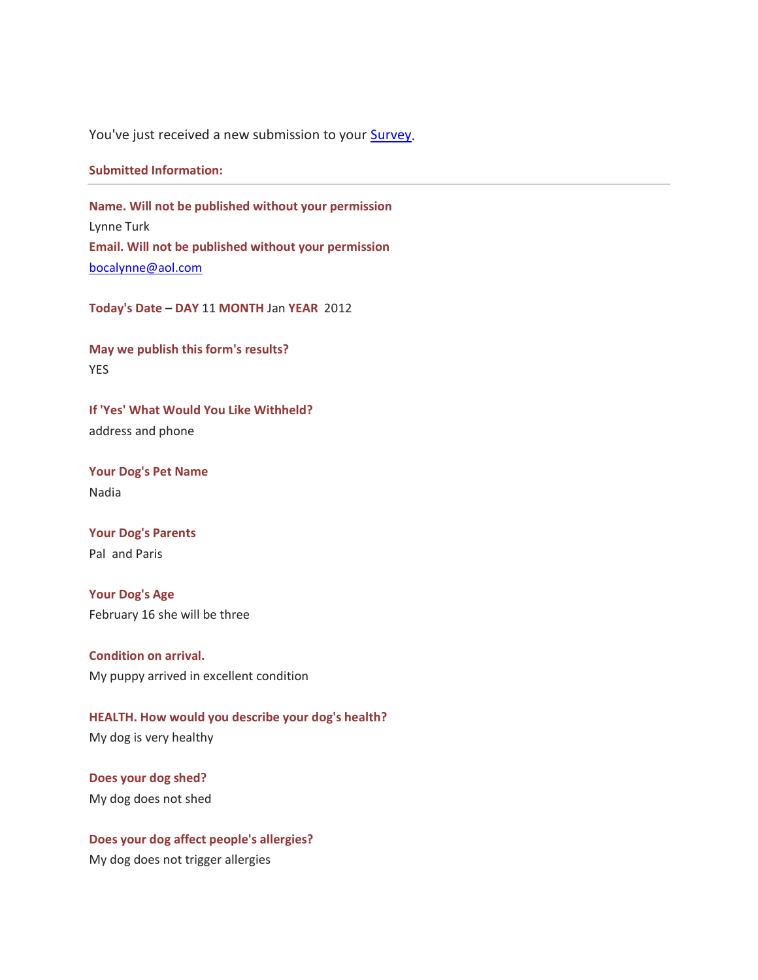You've just received a new submission to your **Survey**.

## **Submitted Information:**

**Name. Will not be published without your permission** Lynne Turk **Email. Will not be published without your permission** [bocalynne@aol.com](mailto:bocalynne@aol.com)

**Today's Date – DAY** 11 **MONTH** Jan **YEAR** 2012

**May we publish this form's results?**  YES

**If 'Yes' What Would You Like Withheld?**  address and phone

**Your Dog's Pet Name** Nadia

**Your Dog's Parents** Pal and Paris

**Your Dog's Age** February 16 she will be three

**Condition on arrival.** My puppy arrived in excellent condition

**HEALTH. How would you describe your dog's health?** My dog is very healthy

**Does your dog shed?** My dog does not shed

**Does your dog affect people's allergies?** My dog does not trigger allergies